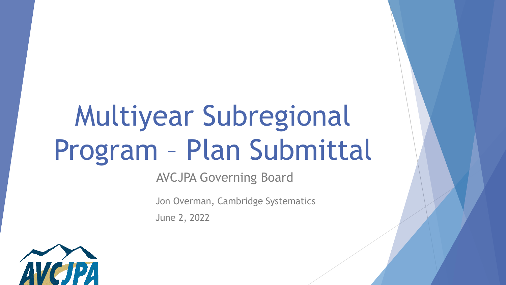# Multiyear Subregional Program – Plan Submittal

AVCJPA Governing Board

Jon Overman, Cambridge Systematics

June 2, 2022

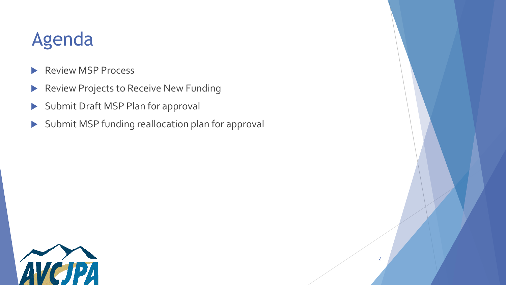# Agenda

- Review MSP Process
- Review Projects to Receive New Funding
- Submit Draft MSP Plan for approval
- Submit MSP funding reallocation plan for approval

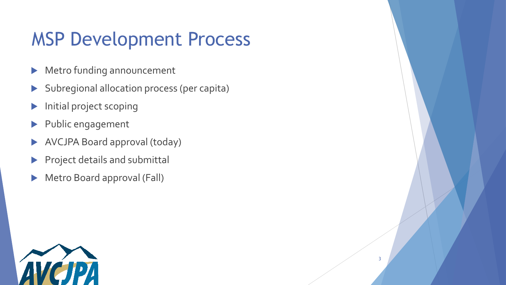# MSP Development Process

- Metro funding announcement
- Subregional allocation process (per capita)
- Initial project scoping
- Public engagement
- AVCJPA Board approval (today)
- Project details and submittal
- Metro Board approval (Fall)

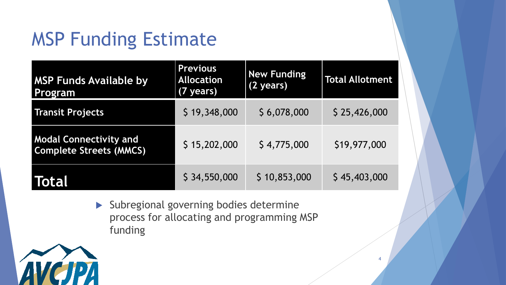# MSP Funding Estimate

| <b>MSP Funds Available by</b><br>Program                        | <b>Previous</b><br><b>Allocation</b><br>(7 years) | <b>New Funding</b><br>(2 years) | <b>Total Allotment</b> |
|-----------------------------------------------------------------|---------------------------------------------------|---------------------------------|------------------------|
| <b>Transit Projects</b>                                         | \$19,348,000                                      | \$6,078,000                     | \$25,426,000           |
| <b>Modal Connectivity and</b><br><b>Complete Streets (MMCS)</b> | \$15,202,000                                      | \$4,775,000                     | \$19,977,000           |
| Total                                                           | \$34,550,000                                      | \$10,853,000                    | \$45,403,000           |

 Subregional governing bodies determine process for allocating and programming MSP funding

4

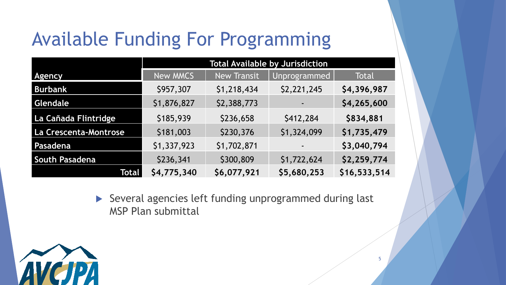# Available Funding For Programming

|                       |             | <b>Total Available by Jurisdiction</b> |              |              |  |  |  |  |  |
|-----------------------|-------------|----------------------------------------|--------------|--------------|--|--|--|--|--|
| <b>Agency</b>         | New MMCS    | <b>New Transit</b>                     | Unprogrammed | Total        |  |  |  |  |  |
| <b>Burbank</b>        | \$957,307   | \$1,218,434                            | \$2,221,245  | \$4,396,987  |  |  |  |  |  |
| Glendale              | \$1,876,827 | \$2,388,773                            |              | \$4,265,600  |  |  |  |  |  |
| La Cañada Flintridge  | \$185,939   | \$236,658                              | \$412,284    | \$834,881    |  |  |  |  |  |
| La Crescenta-Montrose | \$181,003   | \$230,376                              | \$1,324,099  | \$1,735,479  |  |  |  |  |  |
| Pasadena              | \$1,337,923 | \$1,702,871                            |              | \$3,040,794  |  |  |  |  |  |
| South Pasadena        | \$236,341   | \$300,809                              | \$1,722,624  | \$2,259,774  |  |  |  |  |  |
| Total                 | \$4,775,340 | \$6,077,921                            | \$5,680,253  | \$16,533,514 |  |  |  |  |  |

 Several agencies left funding unprogrammed during last MSP Plan submittal

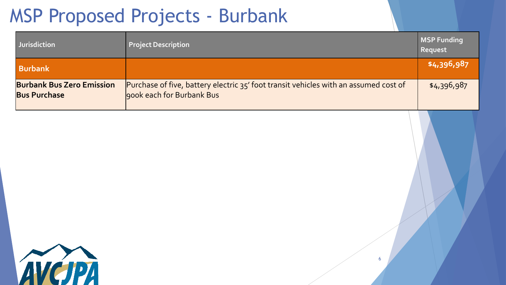# MSP Proposed Projects - Burbank

| <b>Jurisdiction</b>                                     | <b>Project Description</b>                                                                                        | MSP Funding<br>Request |
|---------------------------------------------------------|-------------------------------------------------------------------------------------------------------------------|------------------------|
| <b>Burbank</b>                                          |                                                                                                                   | \$4,396,987            |
| <b>Burbank Bus Zero Emission</b><br><b>Bus Purchase</b> | Purchase of five, battery electric 35' foot transit vehicles with an assumed cost of<br>900k each for Burbank Bus | \$4,396,987            |

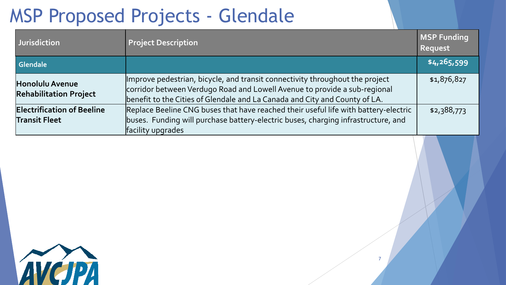# MSP Proposed Projects - Glendale

| Uurisdiction                                              | <b>Project Description</b>                                                                                                                                                                                                              | <b>MSP Funding</b><br>Request |
|-----------------------------------------------------------|-----------------------------------------------------------------------------------------------------------------------------------------------------------------------------------------------------------------------------------------|-------------------------------|
| Glendale                                                  |                                                                                                                                                                                                                                         | \$4,265,599                   |
| <b>Honolulu Avenue</b><br><b>Rehabilitation Project</b>   | Improve pedestrian, bicycle, and transit connectivity throughout the project<br>corridor between Verdugo Road and Lowell Avenue to provide a sub-regional<br>benefit to the Cities of Glendale and La Canada and City and County of LA. | \$1,876,827                   |
| <b>Electrification of Beeline</b><br><b>Transit Fleet</b> | Replace Beeline CNG buses that have reached their useful life with battery-electric<br>buses. Funding will purchase battery-electric buses, charging infrastructure, and<br>facility upgrades                                           | \$2,388,773                   |
|                                                           |                                                                                                                                                                                                                                         |                               |

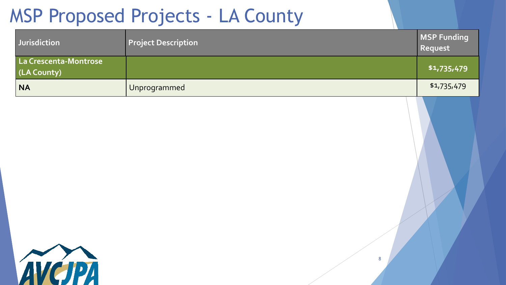## MSP Proposed Projects - LA County

| Jurisdiction                         | <b>Project Description</b> | <b>MSP Funding</b><br>Request |
|--------------------------------------|----------------------------|-------------------------------|
| La Crescenta-Montrose<br>(LA County) |                            | \$1,735,479                   |
| <b>NA</b>                            | Unprogrammed               | \$1,735,479                   |

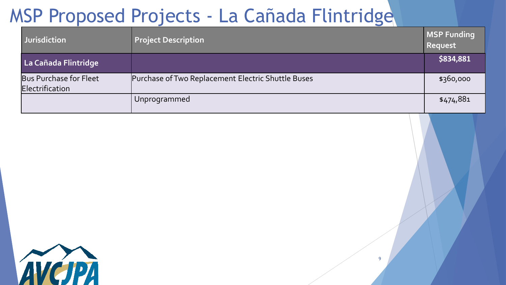# MSP Proposed Projects - La Cañada Flintridge

| <b>Jurisdiction</b>                       | <b>Project Description</b>                         | <b>MSP Funding</b><br>Request |
|-------------------------------------------|----------------------------------------------------|-------------------------------|
| La Cañada Flintridge                      |                                                    | \$834,881                     |
| Bus Purchase for Fleet<br>Electrification | Purchase of Two Replacement Electric Shuttle Buses | \$360,000                     |
|                                           | Unprogrammed                                       | \$474,881                     |

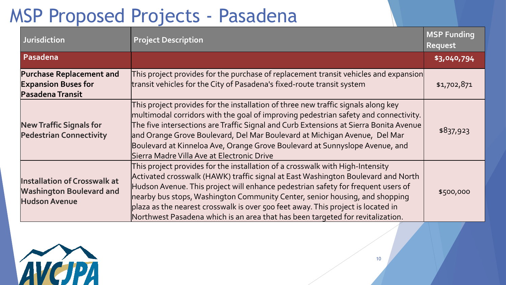# MSP Proposed Projects - Pasadena

| <b>Jurisdiction</b>                                                                            | <b>Project Description</b>                                                                                                                                                                                                                                                                                                                                                                                                                                                                                 | <b>MSP Funding</b><br>Request |
|------------------------------------------------------------------------------------------------|------------------------------------------------------------------------------------------------------------------------------------------------------------------------------------------------------------------------------------------------------------------------------------------------------------------------------------------------------------------------------------------------------------------------------------------------------------------------------------------------------------|-------------------------------|
| Pasadena                                                                                       |                                                                                                                                                                                                                                                                                                                                                                                                                                                                                                            | \$3,040,794                   |
| <b>Purchase Replacement and</b><br><b>Expansion Buses for</b><br>Pasadena Transit              | This project provides for the purchase of replacement transit vehicles and expansion<br>transit vehicles for the City of Pasadena's fixed-route transit system                                                                                                                                                                                                                                                                                                                                             | \$1,702,871                   |
| <b>New Traffic Signals for</b><br><b>Pedestrian Connectivity</b>                               | This project provides for the installation of three new traffic signals along key<br>multimodal corridors with the goal of improving pedestrian safety and connectivity.<br>The five intersections are Traffic Signal and Curb Extensions at Sierra Bonita Avenue<br>and Orange Grove Boulevard, Del Mar Boulevard at Michigan Avenue, Del Mar<br>Boulevard at Kinneloa Ave, Orange Grove Boulevard at Sunnyslope Avenue, and<br>Sierra Madre Villa Ave at Electronic Drive                                | \$837,923                     |
| <b>Installation of Crosswalk at</b><br><b>Washington Boulevard and</b><br><b>Hudson Avenue</b> | This project provides for the installation of a crosswalk with High-Intensity<br>Activated crosswalk (HAWK) traffic signal at East Washington Boulevard and North<br>Hudson Avenue. This project will enhance pedestrian safety for frequent users of<br>nearby bus stops, Washington Community Center, senior housing, and shopping<br>plaza as the nearest crosswalk is over 500 feet away. This project is located in<br>Northwest Pasadena which is an area that has been targeted for revitalization. | \$500,000                     |

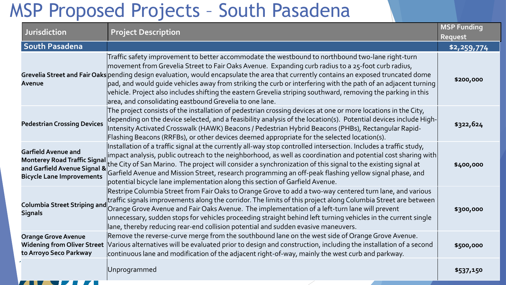### MSP Proposed Projects – South Pasadena

| Jurisdiction                                                                                                                          | <b>Project Description</b>                                                                                                                                                                                                                                                                                                                                                                                                                                                                                                                                                                                                                           | <b>MSP Funding</b> |
|---------------------------------------------------------------------------------------------------------------------------------------|------------------------------------------------------------------------------------------------------------------------------------------------------------------------------------------------------------------------------------------------------------------------------------------------------------------------------------------------------------------------------------------------------------------------------------------------------------------------------------------------------------------------------------------------------------------------------------------------------------------------------------------------------|--------------------|
|                                                                                                                                       |                                                                                                                                                                                                                                                                                                                                                                                                                                                                                                                                                                                                                                                      | Request            |
| <b>South Pasadena</b>                                                                                                                 |                                                                                                                                                                                                                                                                                                                                                                                                                                                                                                                                                                                                                                                      | \$2,259,774        |
| Avenue                                                                                                                                | Traffic safety improvement to better accommodate the westbound to northbound two-lane right-turn<br>movement from Grevelia Street to Fair Oaks Avenue. Expanding curb radius to a 25-foot curb radius,<br>Grevelia Street and Fair Oaks pending design evaluation, would encapsulate the area that currently contains an exposed truncated dome<br>$ $ pad, and would guide vehicles away from striking the curb or interfering with the path of an adjacent turning $ $<br>vehicle. Project also includes shifting the eastern Grevelia striping southward, removing the parking in this<br>area, and consolidating eastbound Grevelia to one lane. | \$200,000          |
| <b>Pedestrian Crossing Devices</b>                                                                                                    | The project consists of the installation of pedestrian crossing devices at one or more locations in the City,<br>depending on the device selected, and a feasibility analysis of the location(s). Potential devices include High-<br>Intensity Activated Crosswalk (HAWK) Beacons / Pedestrian Hybrid Beacons (PHBs), Rectangular Rapid-<br>Flashing Beacons (RRFBs), or other devices deemed appropriate for the selected location(s).                                                                                                                                                                                                              | \$322,624          |
| <b>Garfield Avenue and</b><br><b>Monterey Road Traffic Signal</b><br>and Garfield Avenue Signal &<br><b>Bicycle Lane Improvements</b> | Installation of a traffic signal at the currently all-way stop controlled intersection. Includes a traffic study,<br>$ $ impact analysis, public outreach to the neighborhood, as well as coordination and potential cost sharing with $ $<br>the City of San Marino. The project will consider a synchronization of this signal to the existing signal at<br>Garfield Avenue and Mission Street, research programming an off-peak flashing yellow signal phase, and<br>potential bicycle lane implementation along this section of Garfield Avenue.                                                                                                 | \$400,000          |
| <b>Columbia Street Striping and</b><br><b>Signals</b>                                                                                 | Restripe Columbia Street from Fair Oaks to Orange Grove to add a two-way centered turn lane, and various<br>traffic signals improvements along the corridor. The limits of this project along Columbia Street are between<br>Orange Grove Avenue and Fair Oaks Avenue. The implementation of a left-turn lane will prevent<br>$\,$ unnecessary, sudden stops for vehicles proceeding straight behind left turning vehicles in the current single<br>lane, thereby reducing rear-end collision potential and sudden evasive maneuvers.                                                                                                                | \$300,000          |
| <b>Orange Grove Avenue</b><br><b>Widening from Oliver Street</b><br>to Arroyo Seco Parkway                                            | Remove the reverse-curve merge from the southbound lane on the west side of Orange Grove Avenue.<br>Various alternatives will be evaluated prior to design and construction, including the installation of a second<br>continuous lane and modification of the adjacent right-of-way, mainly the west curb and parkway.                                                                                                                                                                                                                                                                                                                              | \$500,000          |
|                                                                                                                                       | Unprogrammed                                                                                                                                                                                                                                                                                                                                                                                                                                                                                                                                                                                                                                         | \$537,150          |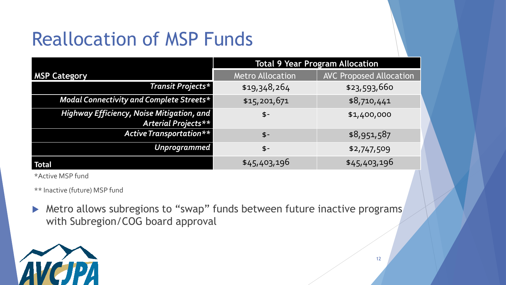# Reallocation of MSP Funds

|                                                                  | <b>Total 9 Year Program Allocation</b> |                                |  |  |  |  |  |
|------------------------------------------------------------------|----------------------------------------|--------------------------------|--|--|--|--|--|
| <b>MSP Category</b>                                              | <b>Metro Allocation</b>                | <b>AVC Proposed Allocation</b> |  |  |  |  |  |
| Transit Projects*                                                | \$19,348,264                           | \$23,593,660                   |  |  |  |  |  |
| Modal Connectivity and Complete Streets*                         | \$15,201,671                           | \$8,710,441                    |  |  |  |  |  |
| Highway Efficiency, Noise Mitigation, and<br>Arterial Projects** | $$-$                                   | \$1,400,000                    |  |  |  |  |  |
| <b>Active Transportation**</b>                                   | $$-$                                   | \$8,951,587                    |  |  |  |  |  |
| Unprogrammed                                                     | $$-$                                   | \$2,747,509                    |  |  |  |  |  |
| <b>Total</b>                                                     | \$45,403,196                           | \$45,403,196                   |  |  |  |  |  |

\*Active MSP fund

\*\* Inactive (future) MSP fund

▶ Metro allows subregions to "swap" funds between future inactive programs with Subregion/COG board approval

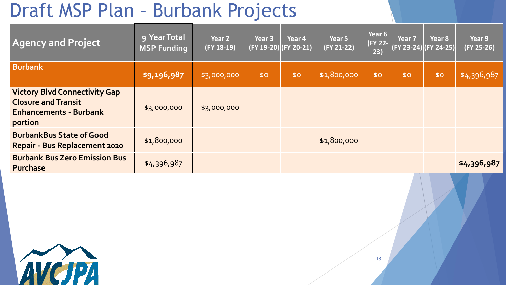## Draft MSP Plan – Burbank Projects

| <b>Agency and Project</b>                                                                                      | 9 Year Total<br><b>MSP Funding</b> | Year 2<br>$(FY 18-19)$ | Year <sub>3</sub> | Year 4<br>(FY 19-20) (FY 20-21) | Year 5<br>(FY 21-22) | Year 6<br>(FY 22-<br>23) | Year <sub>7</sub> | Year 8<br>$(FY 23-24)(FY 24-25)$ | Year 9<br>$(FY 25-26)$ |
|----------------------------------------------------------------------------------------------------------------|------------------------------------|------------------------|-------------------|---------------------------------|----------------------|--------------------------|-------------------|----------------------------------|------------------------|
| <b>Burbank</b>                                                                                                 | \$9,196,987                        | \$3,000,000            | \$0               | \$0                             | \$1,800,000          | \$0                      | \$0               | \$0                              | \$4,396,987            |
| <b>Victory Blvd Connectivity Gap</b><br><b>Closure and Transit</b><br><b>Enhancements - Burbank</b><br>portion | \$3,000,000                        | \$3,000,000            |                   |                                 |                      |                          |                   |                                  |                        |
| <b>BurbankBus State of Good</b><br><b>Repair - Bus Replacement 2020</b>                                        | \$1,800,000                        |                        |                   |                                 | \$1,800,000          |                          |                   |                                  |                        |
| <b>Burbank Bus Zero Emission Bus</b><br><b>Purchase</b>                                                        | \$4,396,987                        |                        |                   |                                 |                      |                          |                   |                                  | \$4,396,987            |

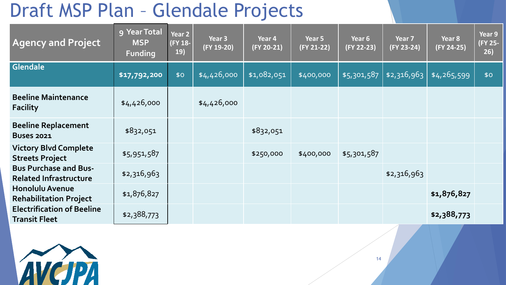# Draft MSP Plan – Glendale Projects

| <b>Agency and Project</b>                                     | 9 Year Total<br><b>MSP</b><br><b>Funding</b> | Year 2<br>(FY 18-<br><b>19)</b> | Year 3<br>$(FY 19-20)$ | Year 4<br>(FY 20-21) | Year 5<br>(FY 21-22) | Year 6<br>(FY 22-23) | Year 7<br>(FY 23-24) | Year 8<br>(FY 24-25) | Year 9<br>(FY 25-<br>26) |
|---------------------------------------------------------------|----------------------------------------------|---------------------------------|------------------------|----------------------|----------------------|----------------------|----------------------|----------------------|--------------------------|
| Glendale                                                      | \$17,792,200                                 | \$0                             | \$4,426,000            | \$1,082,051          | \$400,000            | \$5,301,587          | \$2,316,963          | \$4,265,599          | \$0                      |
| <b>Beeline Maintenance</b><br><b>Facility</b>                 | \$4,426,000                                  |                                 | \$4,426,000            |                      |                      |                      |                      |                      |                          |
| <b>Beeline Replacement</b><br><b>Buses 2021</b>               | \$832,051                                    |                                 |                        | \$832,051            |                      |                      |                      |                      |                          |
| <b>Victory Blvd Complete</b><br><b>Streets Project</b>        | \$5,951,587                                  |                                 |                        | \$250,000            | \$400,000            | \$5,301,587          |                      |                      |                          |
| <b>Bus Purchase and Bus-</b><br><b>Related Infrastructure</b> | \$2,316,963                                  |                                 |                        |                      |                      |                      | \$2,316,963          |                      |                          |
| <b>Honolulu Avenue</b><br><b>Rehabilitation Project</b>       | \$1,876,827                                  |                                 |                        |                      |                      |                      |                      | \$1,876,827          |                          |
| <b>Electrification of Beeline</b><br><b>Transit Fleet</b>     | \$2,388,773                                  |                                 |                        |                      |                      |                      |                      | \$2,388,773          |                          |

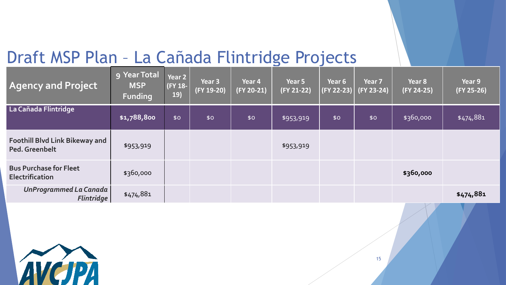#### Draft MSP Plan – La Cañada Flintridge Projects

| <b>Agency and Project</b>                               | 9 Year Total<br><b>MSP</b><br><b>Funding</b> | Year 2<br>(FY 18-<br>19) | Year <sub>3</sub><br>(FY 19-20) | Year 4<br>(FY 20-21) | Year 5<br>$(FY 21-22)$ | Year 6<br>(FY 22-23) | Year 7<br>$(FY 23-24)$ | Year 8<br>(FY 24-25) | Year 9<br>$(FY 25-26)$ |
|---------------------------------------------------------|----------------------------------------------|--------------------------|---------------------------------|----------------------|------------------------|----------------------|------------------------|----------------------|------------------------|
| La Cañada Flintridge                                    | \$1,788,800                                  | \$0                      | \$0                             | \$0                  | \$953,919              | \$0                  | \$0                    | \$360,000            | \$474,881              |
| <b>Foothill Blvd Link Bikeway and</b><br>Ped. Greenbelt | \$953,919                                    |                          |                                 |                      | \$953,919              |                      |                        |                      |                        |
| <b>Bus Purchase for Fleet</b><br><b>Electrification</b> | \$360,000                                    |                          |                                 |                      |                        |                      |                        | \$360,000            |                        |
| UnProgrammed La Canada<br><b>Flintridge</b>             | \$474,881                                    |                          |                                 |                      |                        |                      |                        |                      | \$474,881              |

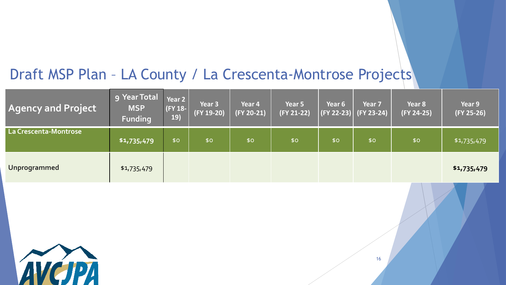#### Draft MSP Plan – LA County / La Crescenta-Montrose Projects

| <b>Agency and Project</b> | <b>g Year Total</b><br><b>MSP</b><br><b>Funding</b> | Year 2<br>$ $ (FY 18- $ $<br>19) | Year <sub>3</sub><br>(FY 19-20) | Year 4<br>$(FY 20-21)$ | Year 5<br>(FY 21-22) | Year 6<br>   (FY 22-23)   <sub> </sub> | Year <sub>7</sub><br>$(FY 23-24)$ | Year 8<br>(FY 24-25) | Year 9<br>$(FY 25-26)$ |
|---------------------------|-----------------------------------------------------|----------------------------------|---------------------------------|------------------------|----------------------|----------------------------------------|-----------------------------------|----------------------|------------------------|
| La Crescenta-Montrose     | \$1,735,479                                         | \$0                              | \$0                             | \$0                    | \$0                  | \$0                                    | \$0                               | \$0                  | \$1,735,479            |
| Unprogrammed              | \$1,735,479                                         |                                  |                                 |                        |                      |                                        |                                   |                      | \$1,735,479            |

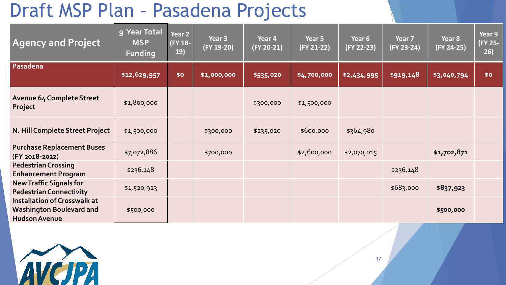## Draft MSP Plan – Pasadena Projects

| <b>Agency and Project</b>                                                                      | 9 Year Total<br><b>MSP</b><br><b>Funding</b> | Year 2<br><b>FY 18-</b><br>19) | Year 3<br>(FY 19-20) | Year 4<br>(FY 20-21) | Year 5<br>(FY 21-22) | Year 6<br>(FY 22-23) | Year 7<br>(FY 23-24) | Year 8<br>(FY 24-25) | Year 9<br>(FY 25-<br>26) |
|------------------------------------------------------------------------------------------------|----------------------------------------------|--------------------------------|----------------------|----------------------|----------------------|----------------------|----------------------|----------------------|--------------------------|
| Pasadena                                                                                       | \$12,629,957                                 | \$0                            | \$1,000,000          | \$535,020            | \$4,700,000          | \$2,434,995          | $ $ \$919,148        | \$3,040,794          | \$0                      |
| <b>Avenue 64 Complete Street</b><br>Project                                                    | \$1,800,000                                  |                                |                      | \$300,000            | \$1,500,000          |                      |                      |                      |                          |
| N. Hill Complete Street Project                                                                | \$1,500,000                                  |                                | \$300,000            | \$235,020            | \$600,000            | \$364,980            |                      |                      |                          |
| <b>Purchase Replacement Buses</b><br>(FY 2018-2022)                                            | \$7,072,886                                  |                                | \$700,000            |                      | \$2,600,000          | \$2,070,015          |                      | \$1,702,871          |                          |
| <b>Pedestrian Crossing</b><br><b>Enhancement Program</b>                                       | \$236,148                                    |                                |                      |                      |                      |                      | \$236,148            |                      |                          |
| <b>New Traffic Signals for</b><br><b>Pedestrian Connectivity</b>                               | \$1,520,923                                  |                                |                      |                      |                      |                      | \$683,000            | \$837,923            |                          |
| <b>Installation of Crosswalk at</b><br><b>Washington Boulevard and</b><br><b>Hudson Avenue</b> | \$500,000                                    |                                |                      |                      |                      |                      |                      | \$500,000            |                          |

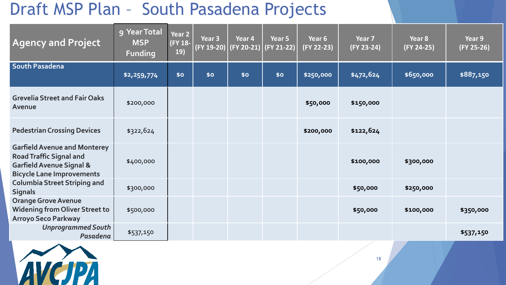#### Draft MSP Plan – South Pasadena Projects

| <b>Agency and Project</b>                                                                                                                        | 9 Year Total<br><b>MSP</b><br><b>Funding</b> | Year 2<br>(FY 18-<br>19) | Year <sub>3</sub><br>$(FY 19-20)$ | Year 4<br>(FY 20-21) | Year 5<br>(FY 21-22) | Year 6<br>(FY 22-23) | Year 7<br>(FY 23-24) | Year <sub>8</sub><br>(FY 24-25) | Year 9<br>(FY 25-26) |
|--------------------------------------------------------------------------------------------------------------------------------------------------|----------------------------------------------|--------------------------|-----------------------------------|----------------------|----------------------|----------------------|----------------------|---------------------------------|----------------------|
| <b>South Pasadena</b>                                                                                                                            | \$2,259,774                                  | \$0                      | \$0                               | \$0                  | \$0                  | \$250,000            | \$472,624            | \$650,000                       | \$887,150            |
| <b>Grevelia Street and Fair Oaks</b><br>Avenue                                                                                                   | \$200,000                                    |                          |                                   |                      |                      | \$50,000             | \$150,000            |                                 |                      |
| <b>Pedestrian Crossing Devices</b>                                                                                                               | \$322,624                                    |                          |                                   |                      |                      | \$200,000            | \$122,624            |                                 |                      |
| <b>Garfield Avenue and Monterey</b><br><b>Road Traffic Signal and</b><br><b>Garfield Avenue Signal &amp;</b><br><b>Bicycle Lane Improvements</b> | \$400,000                                    |                          |                                   |                      |                      |                      | \$100,000            | \$300,000                       |                      |
| <b>Columbia Street Striping and</b><br><b>Signals</b>                                                                                            | \$300,000                                    |                          |                                   |                      |                      |                      | \$50,000             | \$250,000                       |                      |
| <b>Orange Grove Avenue</b><br><b>Widening from Oliver Street to</b><br><b>Arroyo Seco Parkway</b>                                                | \$500,000                                    |                          |                                   |                      |                      |                      | \$50,000             | \$100,000                       | \$350,000            |
| <b>Unprogrammed South</b><br>Pasadena                                                                                                            | \$537,150                                    |                          |                                   |                      |                      |                      |                      |                                 | \$537,150            |

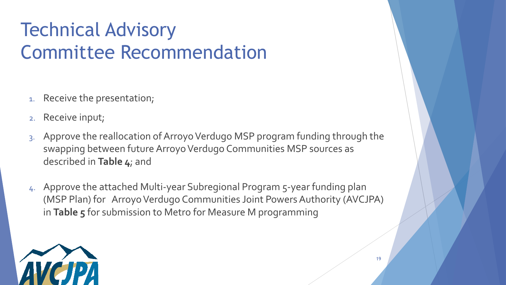# Technical Advisory Committee Recommendation

- 1. Receive the presentation;
- 2. Receive input;
- 3. Approve the reallocation of Arroyo Verdugo MSP program funding through the swapping between future Arroyo Verdugo Communities MSP sources as described in **Table 4**; and
- 4. Approve the attached Multi-year Subregional Program 5-year funding plan (MSP Plan) for Arroyo Verdugo Communities Joint Powers Authority (AVCJPA) in **Table 5** for submission to Metro for Measure M programming